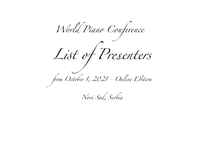*World Piano Conference L*i*t of Pr*e*enters from October 1, 2021 - Online E*d*tion*

*Novi Sad, Serbia*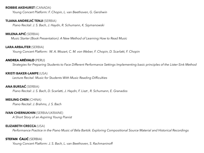### **ROBBIE AKEHURST** (CANADA)

*Young Concert Platform: F. Chopin, L. van Beethoven, G. Gershwin* 

### **TIJANA ANDREJIĆ TENJI** (SERBIA)

*Piano Recital: J. S. Bach, J. Haydn, R. Schumann, K. Szymanowski* 

## **MILENA APIĆ** (SERBIA)

*Music Starter (Book Presentation): A New Method of Learning How to Read Music* 

#### **LARA ARBAJTER** (SERBIA)

*Young Concert Platform: W. A. Mozart, C. M. von Weber, F. Chopin, D. Scarlatti, F. Chopin* 

### **ANDREA ARÉVALO** (PERU)

*Strategies for Preparing Students to Face Different Performance Settings Implementing basic principles of the Lister-Sink Method* 

#### **KRISTI BAKER-LAMPE** (USA)

*Lecture Recital: Music for Students With Music Reading Difficulties*

### **ANA BURSAĆ** (SERBIA)

*Piano Recital: J. S. Bach, D. Scarlatti, J. Haydn, F. Liszt , R. Schumann, E. Granados* 

#### **MEILING CHEN** (CHINA)

*Piano Recital: J. Brahms, J. S. Bach* 

#### **IVAN CHERNUKHIN** (SERBIA/UKRAINE)

*A Short Story of an Aspiring Young Pianist* 

#### **ELIZABETH CRECCA** (USA)

*Performance Practice in the Piano Music of Béla Bartók: Exploring Compositional Source Material and Historical Recordings*

# **STEFAN ĆALIĆ** (SERBIA)

*Young Concert Platform: J. S. Bach, L. van Beethoven, S. Rachmaninoff*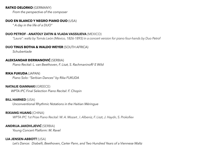### **RATKO DELORKO** (GERMANY)

 *From the perspective of the composer* 

### **DUO EN BLANCO Y NEGRO PIANO DUO** (USA)

*" A day in the life of a DUO"* 

# **DUO PETROF - ANATOLY ZATIN & VLADA VASSILIEVA** (MEXICO)

*"Laura": waltz by Tomás León (México, 1826-1893) in a concert version for piano four-hands by Duo Petrof* 

# **DUO TINUS BOTHA & WALDO WEYER** (SOUTH AFRICA)

*Schubertiade*

# **ALEKSANDAR ĐERMANOVIĆ** (SERBIA)

*Piano Recital: L. van Beethoven, F. Liszt, S. Rachmaninoff/ E Wild* 

## **RIKA FUKUDA** (JAPAN)

*Piano Solo: "Serbian Dances" by Rika FUKUDA*

# **NATALIE GIANNAKI** (GREECE)

 *WPTA IPC Final Selection Piano Recital: F. Chopin*

# **BILL HARNED** (USA)

*Unconventional Rhythmic Notations in the Haitian Méringue*

# **RIXIANG HUANG** (CHINA)

 *WPTA IPC [1st Prize](http://www.wpta.info/IPC/) Piano Recital: W. A. Mozart , I. Albeniz, F. Liszt, J. Haydn, S. Prokofiev* 

# **ANDRIJA JAKOVLJEVIĆ** (SERBIA)

*Young Concert Platform: M. Ravel* 

# **LIA JENSEN-ABBOTT** (USA)

*Let's Dance: Diabelli, Beethoven, Carter Pann, and Two Hundred Years of a Viennese Waltz*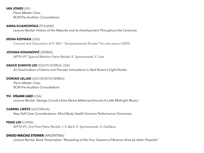## **IAN JONES** (UK)

*Piano Master Class RCM Pre-Audition Consultations* 

### **ANNA KIJANOWSKA** (POLAND)

*Lecture-Recital: History of the Mazurka and its Development Throughout the Centuries*

## **IRENA KOFMAN** (USA)

Concert and Discussion of K. Wilt " Temperamental Etudes" for solo piano (2009)

### **JOVANA KOSANOVIĆ** (SERBIA)

 *WPTA IPC Special Mention Piano Recital: K. Syzmanowski, F. Liszt* 

### **GRACE EUNHYE LEE** (SOUTH KOREA/ USA)

 *An Examination of Genre and Pianistic Innovations in Ned Rorem's Eight Etudes* 

### **DORIAN LELJAK** (UK/CROATIA/SERBIA)

*Piano Master Class RCM Pre-Audition Consultations* 

## **YU - HSUAN LIAO** (USA)

*Lecture-Recital: George Crumb's Eine Kleine Mitternachtmusik (A Little Midnight Music)*

## **CARMEL LIERTZ** (AUSTRALIA)

*New Self Care Considerations: Mind-Body Health Governs Performance Outcomes* 

# **PENG LIN** (CHINA)

 *WPTA IPC 2nd Prize Piano Recital: J. S. Bach, K. Syzmanowski, H. Dutilleux* 

# **DIEGO MACÍAS STEINER** *(ARGENTINA)*

*Lecture Recital: Book Presentation "Rereading of the Four Seasons of Buenos Aires by Astor Piazzolla"*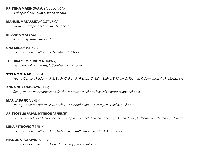### **KRISTINA MARINOVA** (USA/BULGARIA)

*4 Rhapsodies Album-Navona Records* 

#### **MANUEL MATARRITA** (COSTA RICA)

*Women Composers from the Americas* 

### **BRIANNA MATZKE** (USA)

*Arts Entrepreneurship 101* 

## **UNA MILJUŠ** (SERBIA)

 *Young Concert Platform: A. Scriabin, F. Chopin* 

#### **TOSHIKAZU MIZUNUMA** (JAPAN)

*Piano Recital: J. Brahms, F. Schubert, S. Prokofiev* 

### **STELA MOLNAR** (SERBIA)

*Young Concert Platform: J. S. Bach, C. Franck, F. Liszt, C. Saint-Saëns, E. Király, D. Kramer, K. Szymanowski, R. Muczynski* 

#### **ANNA OUSPENSKAYA** (USA)

*Set up your own broadcasting Studio, for music teachers, festivals, competitions, schools* 

### **MARIJA PAJIĆ** (SERBIA)

*Young Concert Platform: J. S. Bach, L. van Beethoven, C. Czerny, M. Glinka, F. Chopin* 

### **ARISTOTELIS PAPADIMITRIOU** (GREECE)

 *WPTA IPC 2nd Prize Piano Recital: F. Chopin, C. Franck, S. Rachmaninoff, S. Gubaidulina, G. Pierne, R. Schumann, J. Haydn* 

## **LUKA PETROVIĆ** (SERBIA)

*Young Concert Platform: J. S. Bach, L. van Beethoven, Franz Liszt, A. Scriabin* 

# **NIKOLINA POPOVIĆ** (SERBIA)

*Young Concert Platform: How I turned my passion into music*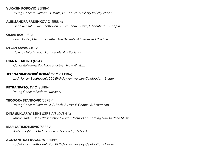# **VUKAŠIN POPOVIĆ** (SERBIA)

 *Young Concert Platform: I. Mints*, *W. Coburn: "Frolicky Rolicky Wind"*

## **ALEKSANDRA RADENKOVIĆ** (SERBIA)

*Piano Recital: L. van Beethoven, F. Schubert/F. Liszt , F. Schubert, F. Chopin* 

## **OMAR ROY** (USA)

*Learn Faster, Memorize Better: The Benefits of Interleaved Practice* 

## **DYLAN SAVAGE** (USA)

*How to Quickly Teach Four Levels of Articulation* 

## **DIANA SHAPIRO (USA)**

*Congratulations! You Have a Partner, Now What….* 

# **JELENA SIMONOVIĆ KOVAČEVIĆ** (SERBIA)

*Ludwig van Beethoven's 250 Birthday Anniversary Celebration - Lieder*

# **PETRA SPASOJEVIĆ** (SERBIA)

 *Young Concert Platform: My story* 

## **TEODORA STANKOVIĆ** (SERBIA)

*Young Concert Platform: J. S. Bach, F. Liszt, F. Chopin, R. Schumann* 

# **DINA ŠUKLAR WIESIKE** (SERBIA/SLOVENIA)

*Music Starter (Book Presentation): A New Method of Learning How to Read Music* 

## **MARIJA TIMOTIJEVIĆ** (SERBIA)

*A New Light on Medtner's Piano Sonata Op. 5 No. 1* 

## **AGOTA VITKAY KUCSERA** (SERBIA)

*Ludwig van Beethoven's 250 Birthday Anniversary Celebration - Lieder*